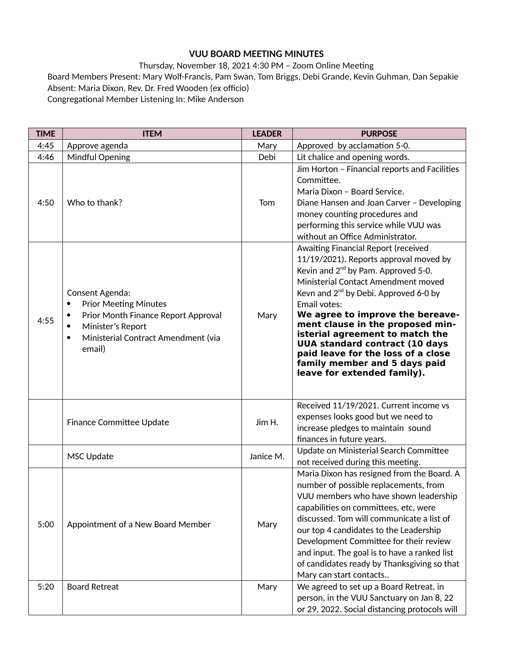## **VUU BOARD MEETING MINUTES**

Thursday, November 18, 2021 4:30 PM – Zoom Online Meeting Board Members Present: Mary Wolf-Francis, Pam Swan, Tom Briggs, Debi Grande, Kevin Guhman, Dan Sepakie Absent: Maria Dixon, Rev. Dr. Fred Wooden (ex officio) Congregational Member Listening In: Mike Anderson

| <b>TIME</b> | <b>ITEM</b>                                                                                                                                                                                              | <b>LEADER</b> | <b>PURPOSE</b>                                                                                                                                                                                                                                                                                                                                                                                                                                                                                  |
|-------------|----------------------------------------------------------------------------------------------------------------------------------------------------------------------------------------------------------|---------------|-------------------------------------------------------------------------------------------------------------------------------------------------------------------------------------------------------------------------------------------------------------------------------------------------------------------------------------------------------------------------------------------------------------------------------------------------------------------------------------------------|
| 4:45        | Approve agenda                                                                                                                                                                                           | Mary          | Approved by acclamation 5-0.                                                                                                                                                                                                                                                                                                                                                                                                                                                                    |
| 4:46        | Mindful Opening                                                                                                                                                                                          | Debi          | Lit chalice and opening words.                                                                                                                                                                                                                                                                                                                                                                                                                                                                  |
| 4:50        | Who to thank?                                                                                                                                                                                            | Tom           | Jim Horton - Financial reports and Facilities<br>Committee.<br>Maria Dixon - Board Service.<br>Diane Hansen and Joan Carver - Developing<br>money counting procedures and<br>performing this service while VUU was<br>without an Office Administrator.                                                                                                                                                                                                                                          |
| 4:55        | Consent Agenda:<br><b>Prior Meeting Minutes</b><br>٠<br>Prior Month Finance Report Approval<br>$\bullet$<br>Minister's Report<br>$\bullet$<br>Ministerial Contract Amendment (via<br>$\bullet$<br>email) | Mary          | Awaiting Financial Report (received<br>11/19/2021). Reports approval moved by<br>Kevin and 2 <sup>nd</sup> by Pam. Approved 5-0.<br>Ministerial Contact Amendment moved<br>Kevn and $2^{nd}$ by Debi. Approved 6-0 by<br>Email votes:<br>We agree to improve the bereave-<br>ment clause in the proposed min-<br>isterial agreement to match the<br><b>UUA standard contract (10 days</b><br>paid leave for the loss of a close<br>family member and 5 days paid<br>leave for extended family). |
|             | Finance Committee Update                                                                                                                                                                                 | Jim H.        | Received 11/19/2021. Current income vs<br>expenses looks good but we need to<br>increase pledges to maintain sound<br>finances in future years.                                                                                                                                                                                                                                                                                                                                                 |
|             | MSC Update                                                                                                                                                                                               | Janice M.     | Update on Ministerial Search Committee<br>not received during this meeting.                                                                                                                                                                                                                                                                                                                                                                                                                     |
| 5:00        | Appointment of a New Board Member                                                                                                                                                                        | Mary          | Maria Dixon has resigned from the Board. A<br>number of possible replacements, from<br>VUU members who have shown leadership<br>capabilities on committees, etc, were<br>discussed. Tom will communicate a list of<br>our top 4 candidates to the Leadership<br>Development Committee for their review<br>and input. The goal is to have a ranked list<br>of candidates ready by Thanksgiving so that<br>Mary can start contacts                                                                |
| 5:20        | <b>Board Retreat</b>                                                                                                                                                                                     | Mary          | We agreed to set up a Board Retreat, in<br>person, in the VUU Sanctuary on Jan 8, 22<br>or 29, 2022. Social distancing protocols will                                                                                                                                                                                                                                                                                                                                                           |